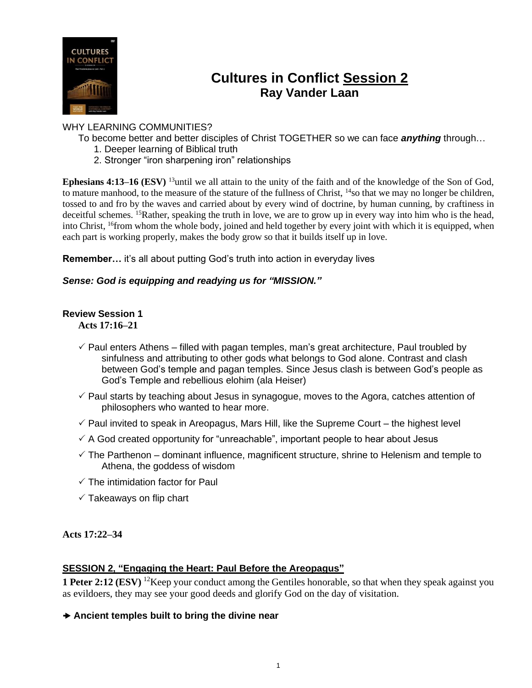

# **Cultures in Conflict Session 2 Ray Vander Laan**

## WHY LEARNING COMMUNITIES?

- To become better and better disciples of Christ TOGETHER so we can face *anything* through…
	- 1. Deeper learning of Biblical truth
	- 2. Stronger "iron sharpening iron" relationships

**Ephesians 4:13–16 (ESV)** <sup>13</sup>until we all attain to the unity of the faith and of the knowledge of the Son of God, to mature manhood, to the measure of the stature of the fullness of Christ, <sup>14</sup>so that we may no longer be children, tossed to and fro by the waves and carried about by every wind of doctrine, by human cunning, by craftiness in deceitful schemes. <sup>15</sup>Rather, speaking the truth in love, we are to grow up in every way into him who is the head, into Christ, <sup>16</sup>from whom the whole body, joined and held together by every joint with which it is equipped, when each part is working properly, makes the body grow so that it builds itself up in love.

**Remember…** it's all about putting God's truth into action in everyday lives

#### *Sense: God is equipping and readying us for "MISSION."*

## **Review Session 1**

**Acts 17:16–21**

- $\checkmark$  Paul enters Athens filled with pagan temples, man's great architecture, Paul troubled by sinfulness and attributing to other gods what belongs to God alone. Contrast and clash between God's temple and pagan temples. Since Jesus clash is between God's people as God's Temple and rebellious elohim (ala Heiser)
- $\checkmark$  Paul starts by teaching about Jesus in synagogue, moves to the Agora, catches attention of philosophers who wanted to hear more.
- $\checkmark$  Paul invited to speak in Areopagus, Mars Hill, like the Supreme Court the highest level
- $\checkmark$  A God created opportunity for "unreachable", important people to hear about Jesus
- $\checkmark$  The Parthenon dominant influence, magnificent structure, shrine to Helenism and temple to Athena, the goddess of wisdom
- $\checkmark$  The intimidation factor for Paul
- $\checkmark$  Takeaways on flip chart

#### **Acts 17:22–34**

#### **SESSION 2, "Engaging the Heart: Paul Before the Areopagus"**

**1 Peter 2:12 (ESV)** <sup>12</sup>Keep your conduct among the Gentiles honorable, so that when they speak against you as evildoers, they may see your good deeds and glorify God on the day of visitation.

#### **Ancient temples built to bring the divine near**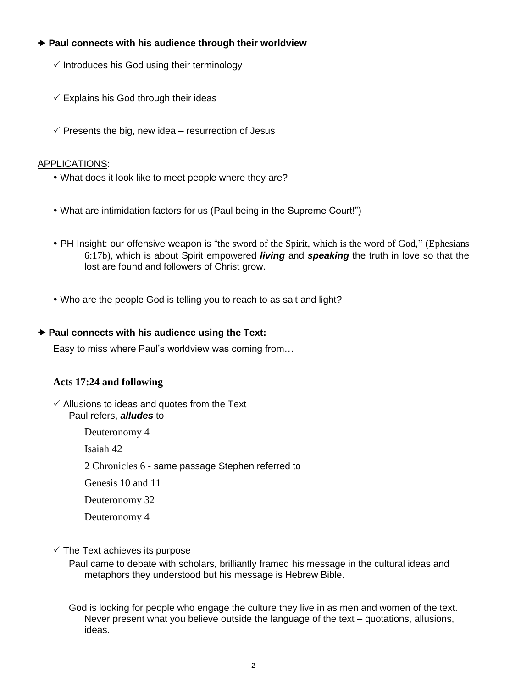## **Paul connects with his audience through their worldview**

- $\checkmark$  Introduces his God using their terminology
- $\checkmark$  Explains his God through their ideas
- $\checkmark$  Presents the big, new idea resurrection of Jesus

### APPLICATIONS:

- What does it look like to meet people where they are?
- What are intimidation factors for us (Paul being in the Supreme Court!")
- PH Insight: our offensive weapon is "the sword of the Spirit, which is the word of God," (Ephesians 6:17b), which is about Spirit empowered *living* and *speaking* the truth in love so that the lost are found and followers of Christ grow.
- Who are the people God is telling you to reach to as salt and light?

#### **→ Paul connects with his audience using the Text:**

Easy to miss where Paul's worldview was coming from…

#### **Acts 17:24 and following**

 $\checkmark$  Allusions to ideas and quotes from the Text Paul refers, *alludes* to

Deuteronomy 4

Isaiah 42

2 Chronicles 6 - same passage Stephen referred to

Genesis 10 and 11

Deuteronomy 32

Deuteronomy 4

 $\checkmark$  The Text achieves its purpose

Paul came to debate with scholars, brilliantly framed his message in the cultural ideas and metaphors they understood but his message is Hebrew Bible.

God is looking for people who engage the culture they live in as men and women of the text. Never present what you believe outside the language of the text – quotations, allusions, ideas.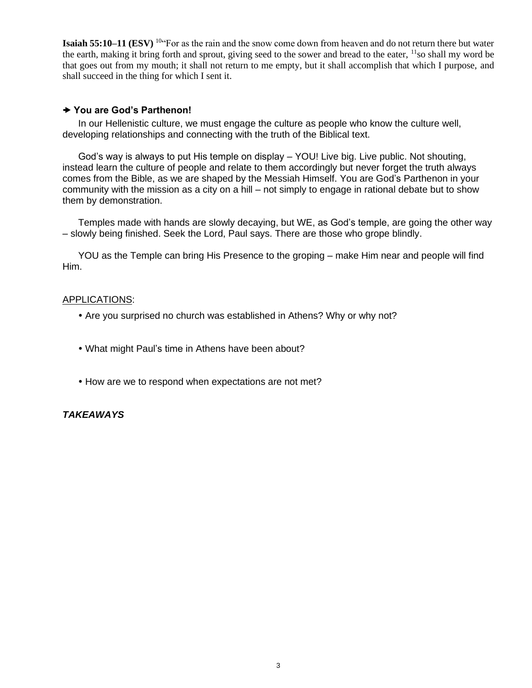**Isaiah 55:10–11 (ESV)** <sup>10</sup>"For as the rain and the snow come down from heaven and do not return there but water the earth, making it bring forth and sprout, giving seed to the sower and bread to the eater, <sup>11</sup>so shall my word be that goes out from my mouth; it shall not return to me empty, but it shall accomplish that which I purpose, and shall succeed in the thing for which I sent it.

#### **You are God's Parthenon!**

In our Hellenistic culture, we must engage the culture as people who know the culture well, developing relationships and connecting with the truth of the Biblical text.

God's way is always to put His temple on display – YOU! Live big. Live public. Not shouting, instead learn the culture of people and relate to them accordingly but never forget the truth always comes from the Bible, as we are shaped by the Messiah Himself. You are God's Parthenon in your community with the mission as a city on a hill – not simply to engage in rational debate but to show them by demonstration.

Temples made with hands are slowly decaying, but WE, as God's temple, are going the other way – slowly being finished. Seek the Lord, Paul says. There are those who grope blindly.

YOU as the Temple can bring His Presence to the groping – make Him near and people will find Him.

#### APPLICATIONS:

- Are you surprised no church was established in Athens? Why or why not?
- What might Paul's time in Athens have been about?
- How are we to respond when expectations are not met?

#### *TAKEAWAYS*